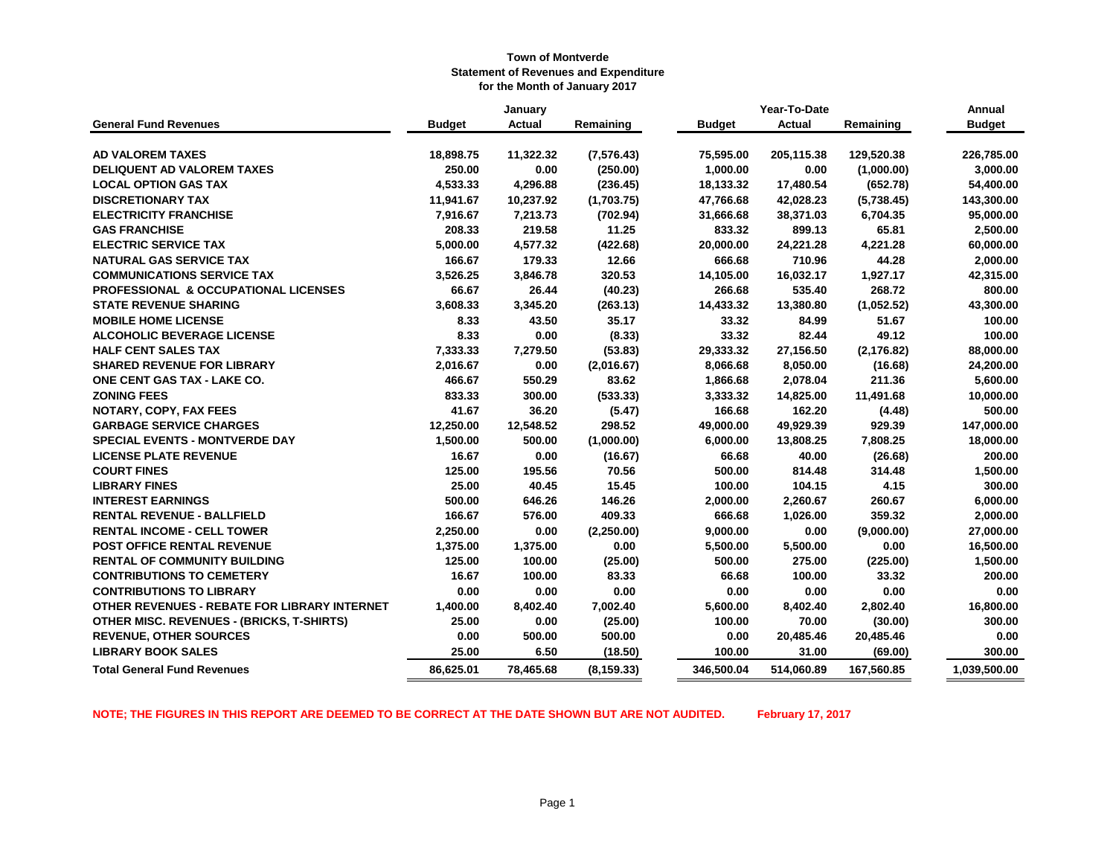|                                                  | January       |               |             |               | Year-To-Date  |             | Annual        |
|--------------------------------------------------|---------------|---------------|-------------|---------------|---------------|-------------|---------------|
| <b>General Fund Revenues</b>                     | <b>Budget</b> | <b>Actual</b> | Remaining   | <b>Budget</b> | <b>Actual</b> | Remaining   | <b>Budget</b> |
|                                                  |               |               |             |               |               |             |               |
| <b>AD VALOREM TAXES</b>                          | 18,898.75     | 11,322.32     | (7,576.43)  | 75,595.00     | 205,115.38    | 129,520.38  | 226,785.00    |
| <b>DELIQUENT AD VALOREM TAXES</b>                | 250.00        | 0.00          | (250.00)    | 1,000.00      | 0.00          | (1,000.00)  | 3,000.00      |
| <b>LOCAL OPTION GAS TAX</b>                      | 4,533.33      | 4,296.88      | (236.45)    | 18,133.32     | 17,480.54     | (652.78)    | 54,400.00     |
| <b>DISCRETIONARY TAX</b>                         | 11,941.67     | 10,237.92     | (1,703.75)  | 47,766.68     | 42,028.23     | (5,738.45)  | 143,300.00    |
| <b>ELECTRICITY FRANCHISE</b>                     | 7,916.67      | 7,213.73      | (702.94)    | 31,666.68     | 38,371.03     | 6,704.35    | 95,000.00     |
| <b>GAS FRANCHISE</b>                             | 208.33        | 219.58        | 11.25       | 833.32        | 899.13        | 65.81       | 2,500.00      |
| <b>ELECTRIC SERVICE TAX</b>                      | 5,000.00      | 4,577.32      | (422.68)    | 20,000.00     | 24,221.28     | 4,221.28    | 60,000.00     |
| <b>NATURAL GAS SERVICE TAX</b>                   | 166.67        | 179.33        | 12.66       | 666.68        | 710.96        | 44.28       | 2,000.00      |
| <b>COMMUNICATIONS SERVICE TAX</b>                | 3,526.25      | 3,846.78      | 320.53      | 14,105.00     | 16,032.17     | 1,927.17    | 42,315.00     |
| <b>PROFESSIONAL &amp; OCCUPATIONAL LICENSES</b>  | 66.67         | 26.44         | (40.23)     | 266.68        | 535.40        | 268.72      | 800.00        |
| <b>STATE REVENUE SHARING</b>                     | 3,608.33      | 3,345.20      | (263.13)    | 14,433.32     | 13,380.80     | (1,052.52)  | 43,300.00     |
| <b>MOBILE HOME LICENSE</b>                       | 8.33          | 43.50         | 35.17       | 33.32         | 84.99         | 51.67       | 100.00        |
| <b>ALCOHOLIC BEVERAGE LICENSE</b>                | 8.33          | 0.00          | (8.33)      | 33.32         | 82.44         | 49.12       | 100.00        |
| <b>HALF CENT SALES TAX</b>                       | 7,333.33      | 7,279.50      | (53.83)     | 29,333.32     | 27,156.50     | (2, 176.82) | 88,000.00     |
| <b>SHARED REVENUE FOR LIBRARY</b>                | 2,016.67      | 0.00          | (2,016.67)  | 8,066.68      | 8,050.00      | (16.68)     | 24,200.00     |
| ONE CENT GAS TAX - LAKE CO.                      | 466.67        | 550.29        | 83.62       | 1,866.68      | 2,078.04      | 211.36      | 5,600.00      |
| <b>ZONING FEES</b>                               | 833.33        | 300.00        | (533.33)    | 3,333.32      | 14,825.00     | 11,491.68   | 10,000.00     |
| NOTARY, COPY, FAX FEES                           | 41.67         | 36.20         | (5.47)      | 166.68        | 162.20        | (4.48)      | 500.00        |
| <b>GARBAGE SERVICE CHARGES</b>                   | 12,250.00     | 12,548.52     | 298.52      | 49,000.00     | 49,929.39     | 929.39      | 147,000.00    |
| <b>SPECIAL EVENTS - MONTVERDE DAY</b>            | 1,500.00      | 500.00        | (1,000.00)  | 6,000.00      | 13,808.25     | 7,808.25    | 18,000.00     |
| <b>LICENSE PLATE REVENUE</b>                     | 16.67         | 0.00          | (16.67)     | 66.68         | 40.00         | (26.68)     | 200.00        |
| <b>COURT FINES</b>                               | 125.00        | 195.56        | 70.56       | 500.00        | 814.48        | 314.48      | 1,500.00      |
| <b>LIBRARY FINES</b>                             | 25.00         | 40.45         | 15.45       | 100.00        | 104.15        | 4.15        | 300.00        |
| <b>INTEREST EARNINGS</b>                         | 500.00        | 646.26        | 146.26      | 2,000.00      | 2,260.67      | 260.67      | 6,000.00      |
| <b>RENTAL REVENUE - BALLFIELD</b>                | 166.67        | 576.00        | 409.33      | 666.68        | 1,026.00      | 359.32      | 2,000.00      |
| <b>RENTAL INCOME - CELL TOWER</b>                | 2,250.00      | 0.00          | (2,250.00)  | 9,000.00      | 0.00          | (9,000.00)  | 27,000.00     |
| <b>POST OFFICE RENTAL REVENUE</b>                | 1,375.00      | 1,375.00      | 0.00        | 5,500.00      | 5,500.00      | 0.00        | 16,500.00     |
| <b>RENTAL OF COMMUNITY BUILDING</b>              | 125.00        | 100.00        | (25.00)     | 500.00        | 275.00        | (225.00)    | 1,500.00      |
| <b>CONTRIBUTIONS TO CEMETERY</b>                 | 16.67         | 100.00        | 83.33       | 66.68         | 100.00        | 33.32       | 200.00        |
| <b>CONTRIBUTIONS TO LIBRARY</b>                  | 0.00          | 0.00          | 0.00        | 0.00          | 0.00          | 0.00        | 0.00          |
| OTHER REVENUES - REBATE FOR LIBRARY INTERNET     | 1,400.00      | 8,402.40      | 7,002.40    | 5,600.00      | 8,402.40      | 2,802.40    | 16,800.00     |
| <b>OTHER MISC. REVENUES - (BRICKS, T-SHIRTS)</b> | 25.00         | 0.00          | (25.00)     | 100.00        | 70.00         | (30.00)     | 300.00        |
| <b>REVENUE, OTHER SOURCES</b>                    | 0.00          | 500.00        | 500.00      | 0.00          | 20,485.46     | 20,485.46   | 0.00          |
| <b>LIBRARY BOOK SALES</b>                        | 25.00         | 6.50          | (18.50)     | 100.00        | 31.00         | (69.00)     | 300.00        |
| <b>Total General Fund Revenues</b>               | 86,625.01     | 78,465.68     | (8, 159.33) | 346,500.04    | 514,060.89    | 167,560.85  | 1,039,500.00  |

**NOTE; THE FIGURES IN THIS REPORT ARE DEEMED TO BE CORRECT AT THE DATE SHOWN BUT ARE NOT AUDITED. February 17, 2017**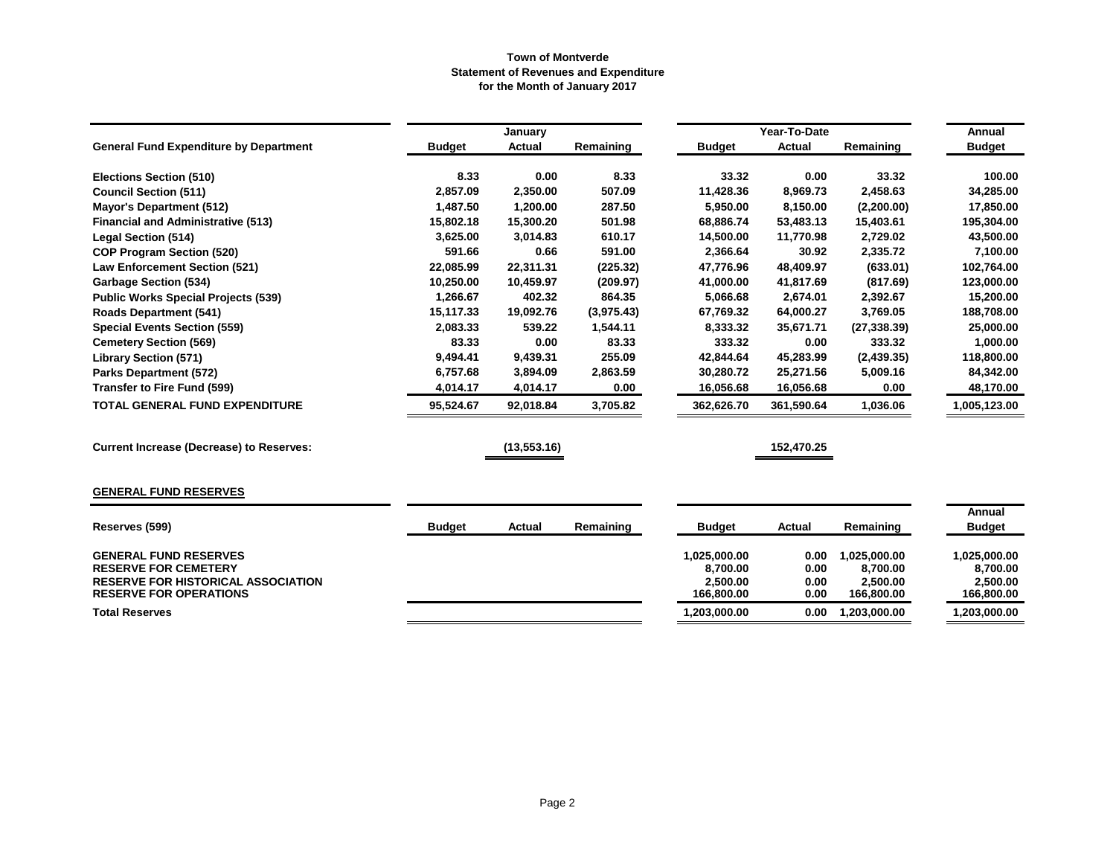|                                                                            |               | January       |            |                        | Year-To-Date  |                        | Annual                 |
|----------------------------------------------------------------------------|---------------|---------------|------------|------------------------|---------------|------------------------|------------------------|
| <b>General Fund Expenditure by Department</b>                              | <b>Budget</b> | <b>Actual</b> | Remaining  | <b>Budget</b>          | <b>Actual</b> | Remaining              | <b>Budget</b>          |
| <b>Elections Section (510)</b>                                             | 8.33          | 0.00          | 8.33       | 33.32                  | 0.00          | 33.32                  | 100.00                 |
| <b>Council Section (511)</b>                                               | 2,857.09      | 2,350.00      | 507.09     | 11,428.36              | 8,969.73      | 2,458.63               | 34,285.00              |
| <b>Mayor's Department (512)</b>                                            | 1,487.50      | 1,200.00      | 287.50     | 5.950.00               | 8,150.00      | (2,200.00)             | 17,850.00              |
| <b>Financial and Administrative (513)</b>                                  | 15,802.18     | 15,300.20     | 501.98     | 68,886.74              | 53,483.13     | 15,403.61              | 195,304.00             |
| <b>Legal Section (514)</b>                                                 | 3,625.00      | 3,014.83      | 610.17     | 14,500.00              | 11,770.98     | 2,729.02               | 43,500.00              |
| <b>COP Program Section (520)</b>                                           | 591.66        | 0.66          | 591.00     | 2,366.64               | 30.92         | 2,335.72               | 7,100.00               |
| <b>Law Enforcement Section (521)</b>                                       | 22,085.99     | 22,311.31     | (225.32)   | 47,776.96              | 48,409.97     | (633.01)               | 102,764.00             |
| <b>Garbage Section (534)</b>                                               | 10,250.00     | 10,459.97     | (209.97)   | 41,000.00              | 41,817.69     | (817.69)               | 123,000.00             |
| <b>Public Works Special Projects (539)</b>                                 | 1,266.67      | 402.32        | 864.35     | 5,066.68               | 2,674.01      | 2,392.67               | 15,200.00              |
| <b>Roads Department (541)</b>                                              | 15,117.33     | 19,092.76     | (3,975.43) | 67,769.32              | 64,000.27     | 3,769.05               | 188,708.00             |
| <b>Special Events Section (559)</b>                                        | 2,083.33      | 539.22        | 1,544.11   | 8,333.32               | 35,671.71     | (27, 338.39)           | 25,000.00              |
| <b>Cemetery Section (569)</b>                                              | 83.33         | 0.00          | 83.33      | 333.32                 | 0.00          | 333.32                 | 1,000.00               |
| <b>Library Section (571)</b>                                               | 9,494.41      | 9,439.31      | 255.09     | 42,844.64              | 45,283.99     | (2,439.35)             | 118,800.00             |
| <b>Parks Department (572)</b>                                              | 6,757.68      | 3,894.09      | 2,863.59   | 30,280.72              | 25,271.56     | 5,009.16               | 84,342.00              |
| <b>Transfer to Fire Fund (599)</b>                                         | 4,014.17      | 4,014.17      | 0.00       | 16,056.68              | 16,056.68     | 0.00                   | 48,170.00              |
| <b>TOTAL GENERAL FUND EXPENDITURE</b>                                      | 95,524.67     | 92,018.84     | 3,705.82   | 362,626.70             | 361,590.64    | 1,036.06               | 1,005,123.00           |
| <b>Current Increase (Decrease) to Reserves:</b>                            |               | (13, 553.16)  |            |                        | 152,470.25    |                        |                        |
| <b>GENERAL FUND RESERVES</b>                                               |               |               |            |                        |               |                        |                        |
|                                                                            |               |               |            |                        |               |                        | <b>Annual</b>          |
| Reserves (599)                                                             | <b>Budget</b> | Actual        | Remaining  | <b>Budget</b>          | Actual        | Remaining              | <b>Budget</b>          |
| <b>GENERAL FUND RESERVES</b>                                               |               |               |            | 1,025,000.00           | 0.00          | 1,025,000.00           | 1,025,000.00           |
| <b>RESERVE FOR CEMETERY</b>                                                |               |               |            | 8,700.00               | 0.00          | 8,700.00               | 8,700.00               |
| <b>RESERVE FOR HISTORICAL ASSOCIATION</b><br><b>RESERVE FOR OPERATIONS</b> |               |               |            | 2,500.00<br>166,800.00 | 0.00<br>0.00  | 2,500.00<br>166,800.00 | 2,500.00<br>166,800.00 |
| <b>Total Reserves</b>                                                      |               |               |            | 1,203,000.00           | 0.00          | 1,203,000.00           | 1,203,000.00           |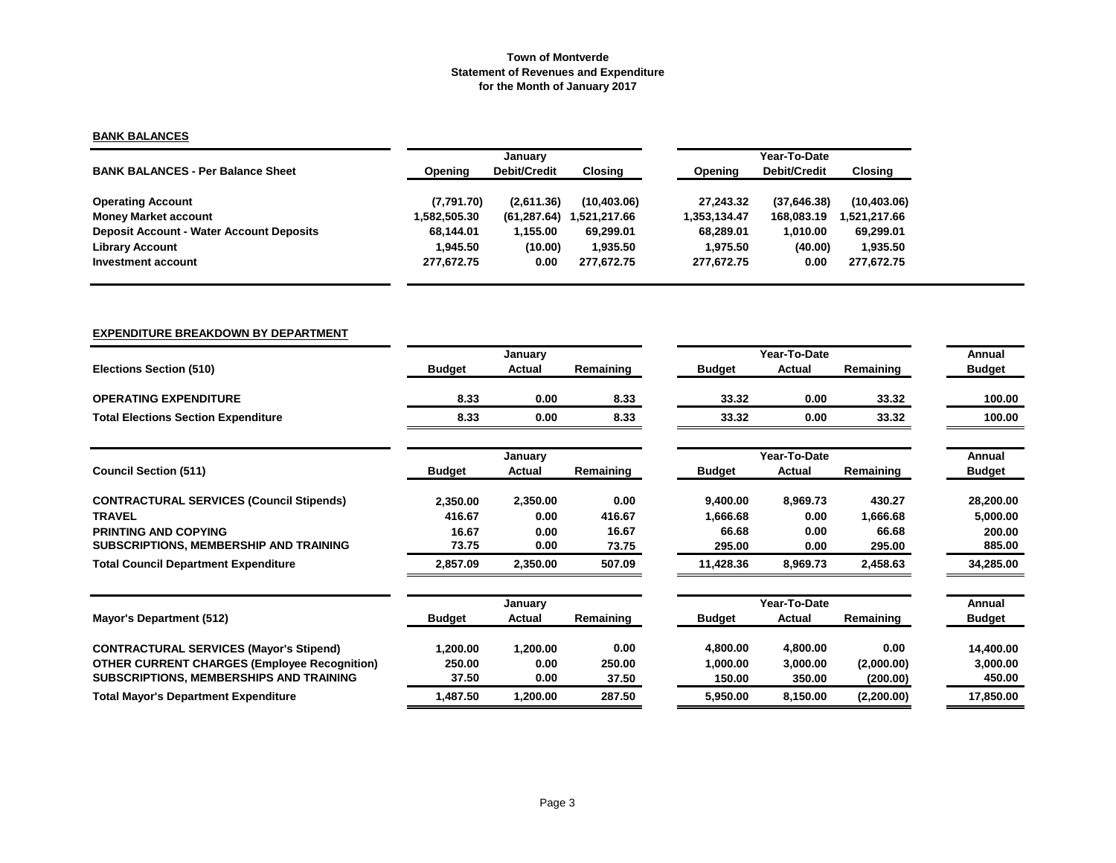## **BANK BALANCES**

|                                                 |            | January             |              |              | Year-To-Date        |              |  |  |  |
|-------------------------------------------------|------------|---------------------|--------------|--------------|---------------------|--------------|--|--|--|
| <b>BANK BALANCES - Per Balance Sheet</b>        | Opening    | <b>Debit/Credit</b> | Closing      | Opening      | <b>Debit/Credit</b> | Closing      |  |  |  |
| <b>Operating Account</b>                        | (7,791.70) | (2,611.36)          | (10, 403.06) | 27.243.32    | (37,646.38)         | (10, 403.06) |  |  |  |
| <b>Money Market account</b>                     | 582,505.30 | (61, 287.64)        | 1,521,217.66 | 1.353.134.47 | 168,083.19          | .521,217.66  |  |  |  |
| <b>Deposit Account - Water Account Deposits</b> | 68.144.01  | 1,155.00            | 69.299.01    | 68.289.01    | 1.010.00            | 69,299.01    |  |  |  |
| <b>Library Account</b>                          | 1.945.50   | (10.00)             | 1.935.50     | 1.975.50     | (40.00)             | 1,935.50     |  |  |  |
| Investment account                              | 277.672.75 | 0.00                | 277.672.75   | 277.672.75   | 0.00                | 277,672.75   |  |  |  |

#### **EXPENDITURE BREAKDOWN BY DEPARTMENT**

|                                                     |               | January       |           |               | Year-To-Date  |            | Annual        |
|-----------------------------------------------------|---------------|---------------|-----------|---------------|---------------|------------|---------------|
| <b>Elections Section (510)</b>                      | <b>Budget</b> | <b>Actual</b> | Remaining | <b>Budget</b> | Actual        | Remaining  | <b>Budget</b> |
| <b>OPERATING EXPENDITURE</b>                        | 8.33          | 0.00          | 8.33      | 33.32         | 0.00          | 33.32      | 100.00        |
| <b>Total Elections Section Expenditure</b>          | 8.33          | 0.00          | 8.33      | 33.32         | 0.00          | 33.32      | 100.00        |
|                                                     |               | January       |           |               | Year-To-Date  |            | Annual        |
| <b>Council Section (511)</b>                        | <b>Budget</b> | Actual        | Remaining | <b>Budget</b> | <b>Actual</b> | Remaining  | <b>Budget</b> |
| <b>CONTRACTURAL SERVICES (Council Stipends)</b>     | 2,350.00      | 2,350.00      | 0.00      | 9,400.00      | 8,969.73      | 430.27     | 28,200.00     |
| <b>TRAVEL</b>                                       | 416.67        | 0.00          | 416.67    | 1,666.68      | 0.00          | 1,666.68   | 5,000.00      |
| <b>PRINTING AND COPYING</b>                         | 16.67         | 0.00          | 16.67     | 66.68         | 0.00          | 66.68      | 200.00        |
| SUBSCRIPTIONS, MEMBERSHIP AND TRAINING              | 73.75         | 0.00          | 73.75     | 295.00        | 0.00          | 295.00     | 885.00        |
| <b>Total Council Department Expenditure</b>         | 2,857.09      | 2,350.00      | 507.09    | 11,428.36     | 8,969.73      | 2,458.63   | 34,285.00     |
|                                                     |               | January       |           |               | Year-To-Date  |            | Annual        |
| Mayor's Department (512)                            | <b>Budget</b> | Actual        | Remaining | <b>Budget</b> | Actual        | Remaining  | <b>Budget</b> |
| <b>CONTRACTURAL SERVICES (Mayor's Stipend)</b>      | 1,200.00      | 1,200.00      | 0.00      | 4,800.00      | 4,800.00      | 0.00       | 14,400.00     |
| <b>OTHER CURRENT CHARGES (Employee Recognition)</b> | 250.00        | 0.00          | 250.00    | 1,000.00      | 3,000.00      | (2,000.00) | 3,000.00      |
| SUBSCRIPTIONS, MEMBERSHIPS AND TRAINING             | 37.50         | 0.00          | 37.50     | 150.00        | 350.00        | (200.00)   | 450.00        |
| <b>Total Mayor's Department Expenditure</b>         | 1,487.50      | 1,200.00      | 287.50    | 5,950.00      | 8,150.00      | (2,200.00) | 17,850.00     |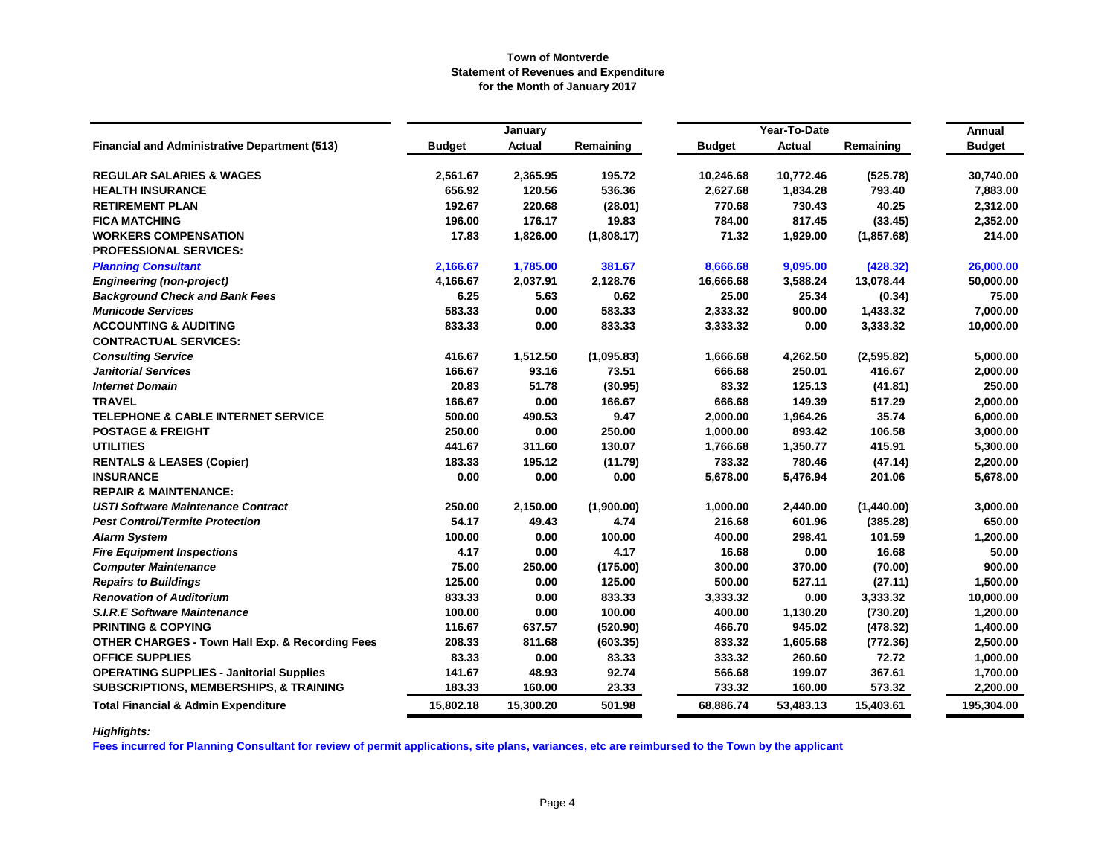|                                                            |               | January   |            |               | Year-To-Date |             | <b>Annual</b> |
|------------------------------------------------------------|---------------|-----------|------------|---------------|--------------|-------------|---------------|
| <b>Financial and Administrative Department (513)</b>       | <b>Budget</b> | Actual    | Remaining  | <b>Budget</b> | Actual       | Remaining   | <b>Budget</b> |
| <b>REGULAR SALARIES &amp; WAGES</b>                        | 2,561.67      | 2,365.95  | 195.72     | 10,246.68     | 10,772.46    | (525.78)    | 30,740.00     |
| <b>HEALTH INSURANCE</b>                                    | 656.92        | 120.56    | 536.36     | 2,627.68      | 1,834.28     | 793.40      | 7,883.00      |
| <b>RETIREMENT PLAN</b>                                     | 192.67        | 220.68    | (28.01)    | 770.68        | 730.43       | 40.25       | 2,312.00      |
| <b>FICA MATCHING</b>                                       | 196.00        | 176.17    | 19.83      | 784.00        | 817.45       | (33.45)     | 2,352.00      |
| <b>WORKERS COMPENSATION</b>                                | 17.83         | 1,826.00  | (1,808.17) | 71.32         | 1,929.00     | (1, 857.68) | 214.00        |
| <b>PROFESSIONAL SERVICES:</b>                              |               |           |            |               |              |             |               |
| <b>Planning Consultant</b>                                 | 2,166.67      | 1,785.00  | 381.67     | 8,666.68      | 9,095.00     | (428.32)    | 26,000.00     |
| <b>Engineering (non-project)</b>                           | 4,166.67      | 2,037.91  | 2,128.76   | 16,666.68     | 3,588.24     | 13,078.44   | 50,000.00     |
| <b>Background Check and Bank Fees</b>                      | 6.25          | 5.63      | 0.62       | 25.00         | 25.34        | (0.34)      | 75.00         |
| <b>Municode Services</b>                                   | 583.33        | 0.00      | 583.33     | 2,333.32      | 900.00       | 1,433.32    | 7,000.00      |
| <b>ACCOUNTING &amp; AUDITING</b>                           | 833.33        | 0.00      | 833.33     | 3,333.32      | 0.00         | 3,333.32    | 10,000.00     |
| <b>CONTRACTUAL SERVICES:</b>                               |               |           |            |               |              |             |               |
| <b>Consulting Service</b>                                  | 416.67        | 1,512.50  | (1,095.83) | 1,666.68      | 4,262.50     | (2,595.82)  | 5,000.00      |
| <b>Janitorial Services</b>                                 | 166.67        | 93.16     | 73.51      | 666.68        | 250.01       | 416.67      | 2,000.00      |
| <b>Internet Domain</b>                                     | 20.83         | 51.78     | (30.95)    | 83.32         | 125.13       | (41.81)     | 250.00        |
| <b>TRAVEL</b>                                              | 166.67        | 0.00      | 166.67     | 666.68        | 149.39       | 517.29      | 2,000.00      |
| <b>TELEPHONE &amp; CABLE INTERNET SERVICE</b>              | 500.00        | 490.53    | 9.47       | 2,000.00      | 1,964.26     | 35.74       | 6,000.00      |
| <b>POSTAGE &amp; FREIGHT</b>                               | 250.00        | 0.00      | 250.00     | 1,000.00      | 893.42       | 106.58      | 3,000.00      |
| <b>UTILITIES</b>                                           | 441.67        | 311.60    | 130.07     | 1,766.68      | 1,350.77     | 415.91      | 5,300.00      |
| <b>RENTALS &amp; LEASES (Copier)</b>                       | 183.33        | 195.12    | (11.79)    | 733.32        | 780.46       | (47.14)     | 2,200.00      |
| <b>INSURANCE</b>                                           | 0.00          | 0.00      | 0.00       | 5,678.00      | 5,476.94     | 201.06      | 5,678.00      |
| <b>REPAIR &amp; MAINTENANCE:</b>                           |               |           |            |               |              |             |               |
| <b>USTI Software Maintenance Contract</b>                  | 250.00        | 2,150.00  | (1,900.00) | 1,000.00      | 2,440.00     | (1,440.00)  | 3,000.00      |
| <b>Pest Control/Termite Protection</b>                     | 54.17         | 49.43     | 4.74       | 216.68        | 601.96       | (385.28)    | 650.00        |
| <b>Alarm System</b>                                        | 100.00        | 0.00      | 100.00     | 400.00        | 298.41       | 101.59      | 1,200.00      |
| <b>Fire Equipment Inspections</b>                          | 4.17          | 0.00      | 4.17       | 16.68         | 0.00         | 16.68       | 50.00         |
| <b>Computer Maintenance</b>                                | 75.00         | 250.00    | (175.00)   | 300.00        | 370.00       | (70.00)     | 900.00        |
| <b>Repairs to Buildings</b>                                | 125.00        | 0.00      | 125.00     | 500.00        | 527.11       | (27.11)     | 1,500.00      |
| <b>Renovation of Auditorium</b>                            | 833.33        | 0.00      | 833.33     | 3,333.32      | 0.00         | 3,333.32    | 10,000.00     |
| <b>S.I.R.E Software Maintenance</b>                        | 100.00        | 0.00      | 100.00     | 400.00        | 1,130.20     | (730.20)    | 1,200.00      |
| <b>PRINTING &amp; COPYING</b>                              | 116.67        | 637.57    | (520.90)   | 466.70        | 945.02       | (478.32)    | 1,400.00      |
| <b>OTHER CHARGES - Town Hall Exp. &amp; Recording Fees</b> | 208.33        | 811.68    | (603.35)   | 833.32        | 1,605.68     | (772.36)    | 2,500.00      |
| <b>OFFICE SUPPLIES</b>                                     | 83.33         | 0.00      | 83.33      | 333.32        | 260.60       | 72.72       | 1,000.00      |
| <b>OPERATING SUPPLIES - Janitorial Supplies</b>            | 141.67        | 48.93     | 92.74      | 566.68        | 199.07       | 367.61      | 1,700.00      |
| <b>SUBSCRIPTIONS, MEMBERSHIPS, &amp; TRAINING</b>          | 183.33        | 160.00    | 23.33      | 733.32        | 160.00       | 573.32      | 2,200.00      |
| <b>Total Financial &amp; Admin Expenditure</b>             | 15,802.18     | 15,300.20 | 501.98     | 68,886.74     | 53,483.13    | 15,403.61   | 195,304.00    |

*Highlights:*

**Fees incurred for Planning Consultant for review of permit applications, site plans, variances, etc are reimbursed to the Town by the applicant**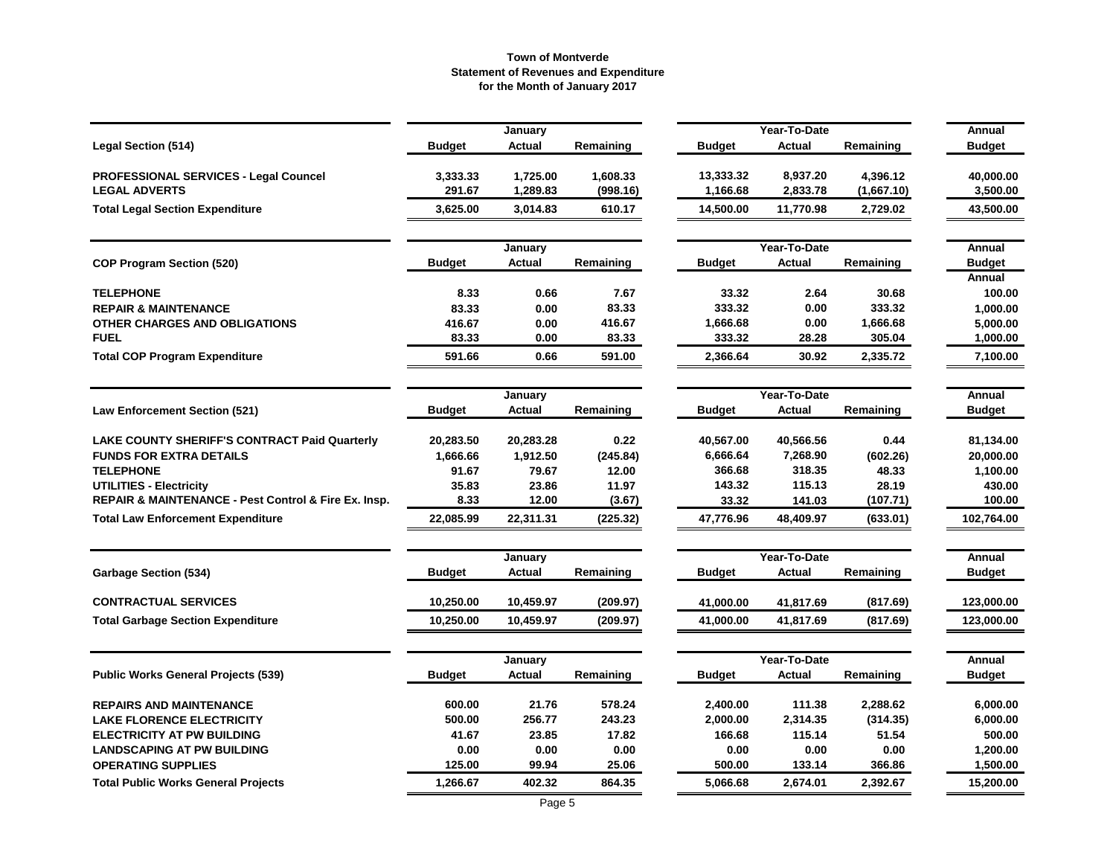|                                                      |               | January       |           |               | Year-To-Date  |            | Annual        |
|------------------------------------------------------|---------------|---------------|-----------|---------------|---------------|------------|---------------|
| <b>Legal Section (514)</b>                           | <b>Budget</b> | <b>Actual</b> | Remaining | <b>Budget</b> | <b>Actual</b> | Remaining  | <b>Budget</b> |
| PROFESSIONAL SERVICES - Legal Councel                | 3,333.33      | 1,725.00      | 1,608.33  | 13,333.32     | 8,937.20      | 4,396.12   | 40,000.00     |
| <b>LEGAL ADVERTS</b>                                 | 291.67        | 1,289.83      | (998.16)  | 1,166.68      | 2,833.78      | (1,667.10) | 3,500.00      |
| <b>Total Legal Section Expenditure</b>               | 3,625.00      | 3,014.83      | 610.17    | 14,500.00     | 11,770.98     | 2,729.02   | 43,500.00     |
|                                                      |               | January       |           |               | Year-To-Date  |            | Annual        |
| <b>COP Program Section (520)</b>                     | <b>Budget</b> | <b>Actual</b> | Remaining | <b>Budget</b> | <b>Actual</b> | Remaining  | <b>Budget</b> |
|                                                      |               |               |           |               |               |            | Annual        |
| <b>TELEPHONE</b>                                     | 8.33          | 0.66          | 7.67      | 33.32         | 2.64          | 30.68      | 100.00        |
| <b>REPAIR &amp; MAINTENANCE</b>                      | 83.33         | 0.00          | 83.33     | 333.32        | 0.00          | 333.32     | 1,000.00      |
| OTHER CHARGES AND OBLIGATIONS                        | 416.67        | 0.00          | 416.67    | 1,666.68      | 0.00          | 1,666.68   | 5,000.00      |
| <b>FUEL</b>                                          | 83.33         | 0.00          | 83.33     | 333.32        | 28.28         | 305.04     | 1,000.00      |
| <b>Total COP Program Expenditure</b>                 | 591.66        | 0.66          | 591.00    | 2,366.64      | 30.92         | 2,335.72   | 7,100.00      |
|                                                      |               | January       |           |               | Year-To-Date  |            | Annual        |
| <b>Law Enforcement Section (521)</b>                 | <b>Budget</b> | <b>Actual</b> | Remaining | <b>Budget</b> | <b>Actual</b> | Remaining  | <b>Budget</b> |
| <b>LAKE COUNTY SHERIFF'S CONTRACT Paid Quarterly</b> | 20,283.50     | 20,283.28     | 0.22      | 40,567.00     | 40,566.56     | 0.44       | 81,134.00     |
| <b>FUNDS FOR EXTRA DETAILS</b>                       | 1,666.66      | 1,912.50      | (245.84)  | 6,666.64      | 7,268.90      | (602.26)   | 20,000.00     |
| <b>TELEPHONE</b>                                     | 91.67         | 79.67         | 12.00     | 366.68        | 318.35        | 48.33      | 1,100.00      |
| <b>UTILITIES - Electricity</b>                       | 35.83         | 23.86         | 11.97     | 143.32        | 115.13        | 28.19      | 430.00        |
| REPAIR & MAINTENANCE - Pest Control & Fire Ex. Insp. | 8.33          | 12.00         | (3.67)    | 33.32         | 141.03        | (107.71)   | 100.00        |
| <b>Total Law Enforcement Expenditure</b>             | 22,085.99     | 22,311.31     | (225.32)  | 47,776.96     | 48,409.97     | (633.01)   | 102,764.00    |
|                                                      |               | January       |           |               | Year-To-Date  |            | Annual        |
| <b>Garbage Section (534)</b>                         | <b>Budget</b> | Actual        | Remaining | <b>Budget</b> | Actual        | Remaining  | <b>Budget</b> |
| <b>CONTRACTUAL SERVICES</b>                          | 10,250.00     | 10,459.97     | (209.97)  | 41,000.00     | 41,817.69     | (817.69)   | 123,000.00    |
| <b>Total Garbage Section Expenditure</b>             | 10,250.00     | 10,459.97     | (209.97)  | 41,000.00     | 41,817.69     | (817.69)   | 123,000.00    |
|                                                      |               | January       |           |               | Year-To-Date  |            | Annual        |
| <b>Public Works General Projects (539)</b>           | <b>Budget</b> | Actual        | Remaining | <b>Budget</b> | <b>Actual</b> | Remaining  | <b>Budget</b> |
| <b>REPAIRS AND MAINTENANCE</b>                       | 600.00        | 21.76         | 578.24    | 2,400.00      | 111.38        | 2,288.62   | 6,000.00      |
| <b>LAKE FLORENCE ELECTRICITY</b>                     | 500.00        | 256.77        | 243.23    | 2,000.00      | 2,314.35      | (314.35)   | 6,000.00      |
| <b>ELECTRICITY AT PW BUILDING</b>                    | 41.67         | 23.85         | 17.82     | 166.68        | 115.14        | 51.54      | 500.00        |
| <b>LANDSCAPING AT PW BUILDING</b>                    | 0.00          | 0.00          | 0.00      | 0.00          | 0.00          | 0.00       | 1,200.00      |
| <b>OPERATING SUPPLIES</b>                            | 125.00        | 99.94         | 25.06     | 500.00        | 133.14        | 366.86     | 1,500.00      |
| <b>Total Public Works General Projects</b>           | 1,266.67      | 402.32        | 864.35    | 5,066.68      | 2,674.01      | 2,392.67   | 15,200.00     |
|                                                      |               |               |           |               |               |            |               |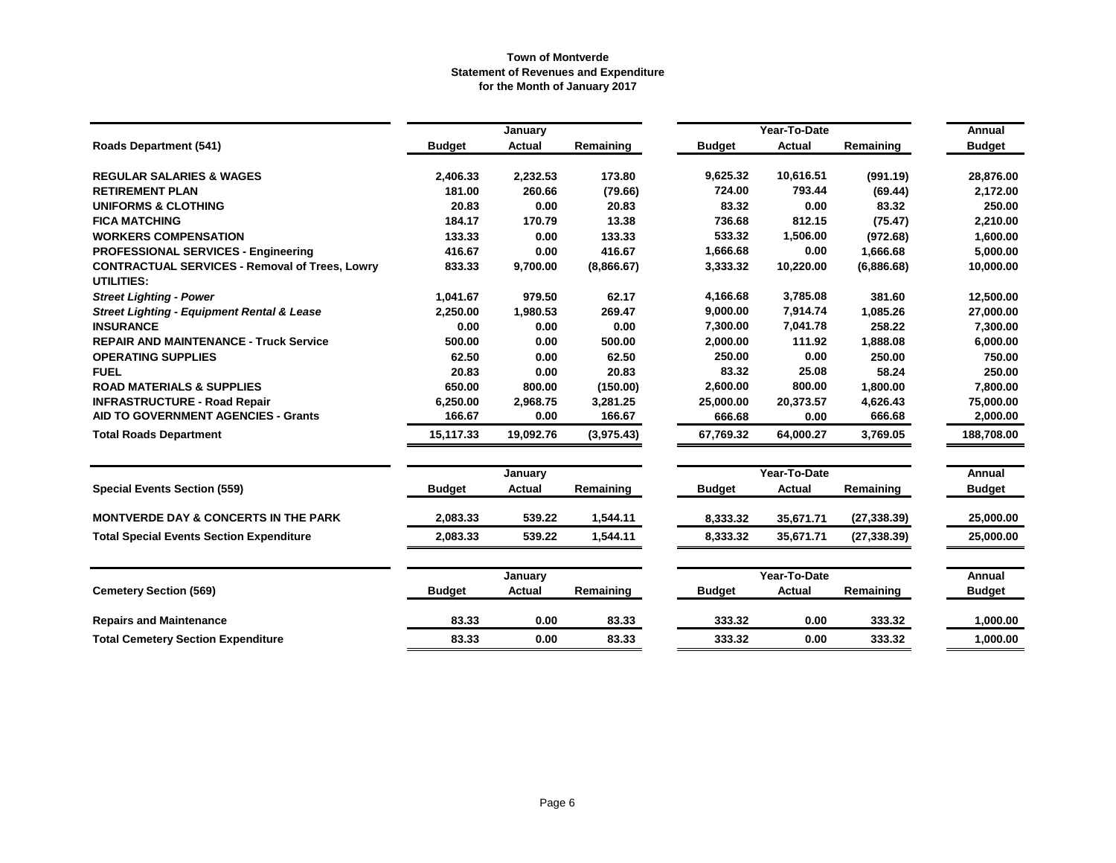|                                                                     |               | January       |            |               | Year-To-Date  |              | Annual        |
|---------------------------------------------------------------------|---------------|---------------|------------|---------------|---------------|--------------|---------------|
| <b>Roads Department (541)</b>                                       | <b>Budget</b> | <b>Actual</b> | Remaining  | <b>Budget</b> | Actual        | Remaining    | <b>Budget</b> |
| <b>REGULAR SALARIES &amp; WAGES</b>                                 | 2,406.33      | 2,232.53      | 173.80     | 9,625.32      | 10,616.51     | (991.19)     | 28,876.00     |
| <b>RETIREMENT PLAN</b>                                              | 181.00        | 260.66        | (79.66)    | 724.00        | 793.44        | (69.44)      | 2,172.00      |
| <b>UNIFORMS &amp; CLOTHING</b>                                      | 20.83         | 0.00          | 20.83      | 83.32         | 0.00          | 83.32        | 250.00        |
| <b>FICA MATCHING</b>                                                | 184.17        | 170.79        | 13.38      | 736.68        | 812.15        | (75.47)      | 2,210.00      |
| <b>WORKERS COMPENSATION</b>                                         | 133.33        | 0.00          | 133.33     | 533.32        | 1,506.00      | (972.68)     | 1,600.00      |
| <b>PROFESSIONAL SERVICES - Engineering</b>                          | 416.67        | 0.00          | 416.67     | 1,666.68      | 0.00          | 1.666.68     | 5,000.00      |
| <b>CONTRACTUAL SERVICES - Removal of Trees, Lowry</b><br>UTILITIES: | 833.33        | 9,700.00      | (8,866.67) | 3,333.32      | 10,220.00     | (6,886.68)   | 10,000.00     |
| <b>Street Lighting - Power</b>                                      | 1,041.67      | 979.50        | 62.17      | 4,166.68      | 3,785.08      | 381.60       | 12,500.00     |
| <b>Street Lighting - Equipment Rental &amp; Lease</b>               | 2,250.00      | 1,980.53      | 269.47     | 9,000.00      | 7,914.74      | 1,085.26     | 27,000.00     |
| <b>INSURANCE</b>                                                    | 0.00          | 0.00          | 0.00       | 7,300.00      | 7,041.78      | 258.22       | 7,300.00      |
| <b>REPAIR AND MAINTENANCE - Truck Service</b>                       | 500.00        | 0.00          | 500.00     | 2,000.00      | 111.92        | 1,888.08     | 6,000.00      |
| <b>OPERATING SUPPLIES</b>                                           | 62.50         | 0.00          | 62.50      | 250.00        | 0.00          | 250.00       | 750.00        |
| <b>FUEL</b>                                                         | 20.83         | 0.00          | 20.83      | 83.32         | 25.08         | 58.24        | 250.00        |
| <b>ROAD MATERIALS &amp; SUPPLIES</b>                                | 650.00        | 800.00        | (150.00)   | 2,600.00      | 800.00        | 1,800.00     | 7,800.00      |
| <b>INFRASTRUCTURE - Road Repair</b>                                 | 6,250.00      | 2,968.75      | 3,281.25   | 25,000.00     | 20,373.57     | 4,626.43     | 75,000.00     |
| <b>AID TO GOVERNMENT AGENCIES - Grants</b>                          | 166.67        | 0.00          | 166.67     | 666.68        | 0.00          | 666.68       | 2,000.00      |
| <b>Total Roads Department</b>                                       | 15,117.33     | 19,092.76     | (3,975.43) | 67,769.32     | 64,000.27     | 3,769.05     | 188,708.00    |
|                                                                     |               | January       |            |               | Year-To-Date  |              | <b>Annual</b> |
| <b>Special Events Section (559)</b>                                 | <b>Budget</b> | <b>Actual</b> | Remaining  | <b>Budget</b> | Actual        | Remaining    | <b>Budget</b> |
| <b>MONTVERDE DAY &amp; CONCERTS IN THE PARK</b>                     | 2,083.33      | 539.22        | 1,544.11   | 8,333.32      | 35,671.71     | (27, 338.39) | 25.000.00     |
| <b>Total Special Events Section Expenditure</b>                     | 2,083.33      | 539.22        | 1,544.11   | 8,333.32      | 35,671.71     | (27, 338.39) | 25,000.00     |
|                                                                     |               | January       |            |               | Year-To-Date  |              | Annual        |
| <b>Cemetery Section (569)</b>                                       | <b>Budget</b> | <b>Actual</b> | Remaining  | <b>Budget</b> | <b>Actual</b> | Remaining    | <b>Budget</b> |
| <b>Repairs and Maintenance</b>                                      | 83.33         | 0.00          | 83.33      | 333.32        | 0.00          | 333.32       | 1,000.00      |
| <b>Total Cemetery Section Expenditure</b>                           | 83.33         | 0.00          | 83.33      | 333.32        | 0.00          | 333.32       | 1,000.00      |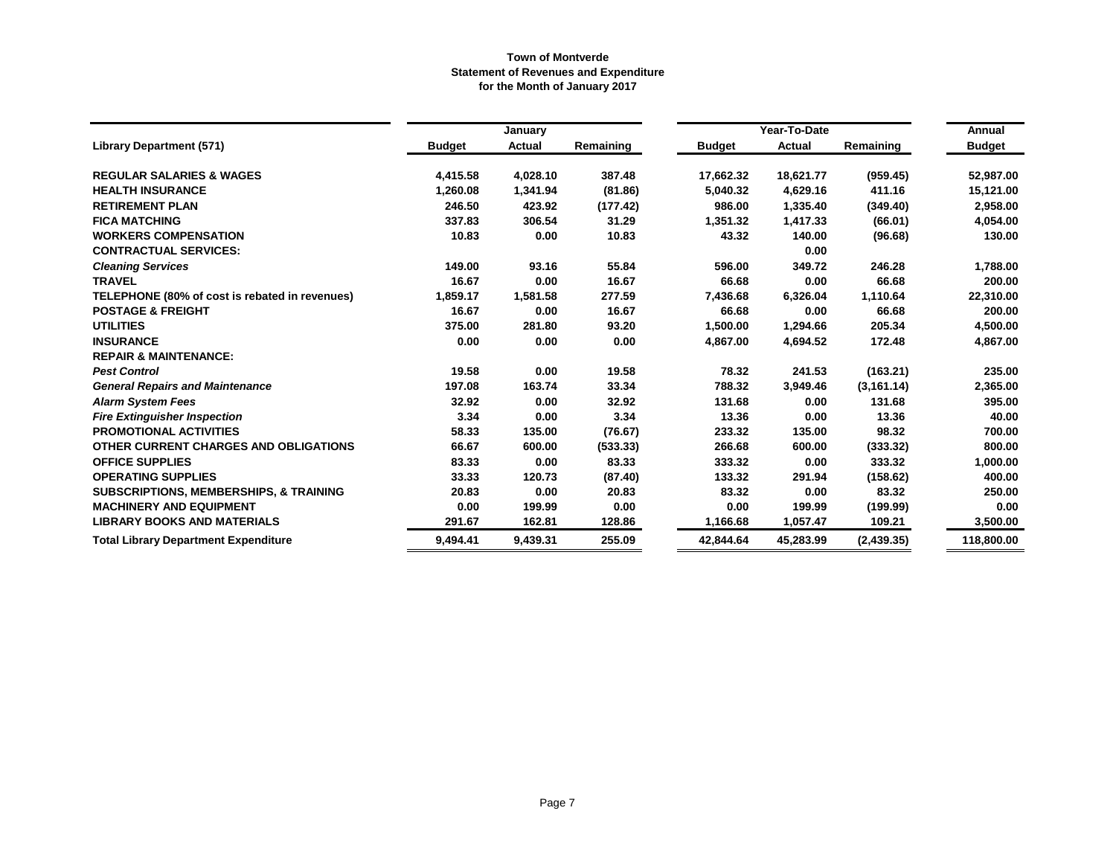|                                                   |               | January       |           |               | Year-To-Date  |             | Annual        |
|---------------------------------------------------|---------------|---------------|-----------|---------------|---------------|-------------|---------------|
| <b>Library Department (571)</b>                   | <b>Budget</b> | <b>Actual</b> | Remaining | <b>Budget</b> | <b>Actual</b> | Remaining   | <b>Budget</b> |
| <b>REGULAR SALARIES &amp; WAGES</b>               | 4,415.58      | 4,028.10      | 387.48    | 17,662.32     | 18,621.77     | (959.45)    | 52,987.00     |
| <b>HEALTH INSURANCE</b>                           | 1,260.08      | 1,341.94      | (81.86)   | 5,040.32      | 4,629.16      | 411.16      | 15,121.00     |
| <b>RETIREMENT PLAN</b>                            | 246.50        | 423.92        | (177.42)  | 986.00        | 1,335.40      | (349.40)    | 2,958.00      |
| <b>FICA MATCHING</b>                              | 337.83        | 306.54        | 31.29     | 1,351.32      | 1,417.33      | (66.01)     | 4,054.00      |
| <b>WORKERS COMPENSATION</b>                       | 10.83         | 0.00          | 10.83     | 43.32         | 140.00        | (96.68)     | 130.00        |
| <b>CONTRACTUAL SERVICES:</b>                      |               |               |           |               | 0.00          |             |               |
| <b>Cleaning Services</b>                          | 149.00        | 93.16         | 55.84     | 596.00        | 349.72        | 246.28      | 1,788.00      |
| <b>TRAVEL</b>                                     | 16.67         | 0.00          | 16.67     | 66.68         | 0.00          | 66.68       | 200.00        |
| TELEPHONE (80% of cost is rebated in revenues)    | 1,859.17      | 1,581.58      | 277.59    | 7,436.68      | 6,326.04      | 1,110.64    | 22,310.00     |
| <b>POSTAGE &amp; FREIGHT</b>                      | 16.67         | 0.00          | 16.67     | 66.68         | 0.00          | 66.68       | 200.00        |
| <b>UTILITIES</b>                                  | 375.00        | 281.80        | 93.20     | 1,500.00      | 1,294.66      | 205.34      | 4,500.00      |
| <b>INSURANCE</b>                                  | 0.00          | 0.00          | 0.00      | 4,867.00      | 4,694.52      | 172.48      | 4,867.00      |
| <b>REPAIR &amp; MAINTENANCE:</b>                  |               |               |           |               |               |             |               |
| <b>Pest Control</b>                               | 19.58         | 0.00          | 19.58     | 78.32         | 241.53        | (163.21)    | 235.00        |
| <b>General Repairs and Maintenance</b>            | 197.08        | 163.74        | 33.34     | 788.32        | 3,949.46      | (3, 161.14) | 2,365.00      |
| <b>Alarm System Fees</b>                          | 32.92         | 0.00          | 32.92     | 131.68        | 0.00          | 131.68      | 395.00        |
| <b>Fire Extinguisher Inspection</b>               | 3.34          | 0.00          | 3.34      | 13.36         | 0.00          | 13.36       | 40.00         |
| <b>PROMOTIONAL ACTIVITIES</b>                     | 58.33         | 135.00        | (76.67)   | 233.32        | 135.00        | 98.32       | 700.00        |
| OTHER CURRENT CHARGES AND OBLIGATIONS             | 66.67         | 600.00        | (533.33)  | 266.68        | 600.00        | (333.32)    | 800.00        |
| <b>OFFICE SUPPLIES</b>                            | 83.33         | 0.00          | 83.33     | 333.32        | 0.00          | 333.32      | 1,000.00      |
| <b>OPERATING SUPPLIES</b>                         | 33.33         | 120.73        | (87.40)   | 133.32        | 291.94        | (158.62)    | 400.00        |
| <b>SUBSCRIPTIONS, MEMBERSHIPS, &amp; TRAINING</b> | 20.83         | 0.00          | 20.83     | 83.32         | 0.00          | 83.32       | 250.00        |
| <b>MACHINERY AND EQUIPMENT</b>                    | 0.00          | 199.99        | 0.00      | 0.00          | 199.99        | (199.99)    | 0.00          |
| <b>LIBRARY BOOKS AND MATERIALS</b>                | 291.67        | 162.81        | 128.86    | 1,166.68      | 1,057.47      | 109.21      | 3,500.00      |
| <b>Total Library Department Expenditure</b>       | 9,494.41      | 9,439.31      | 255.09    | 42,844.64     | 45,283.99     | (2,439.35)  | 118,800.00    |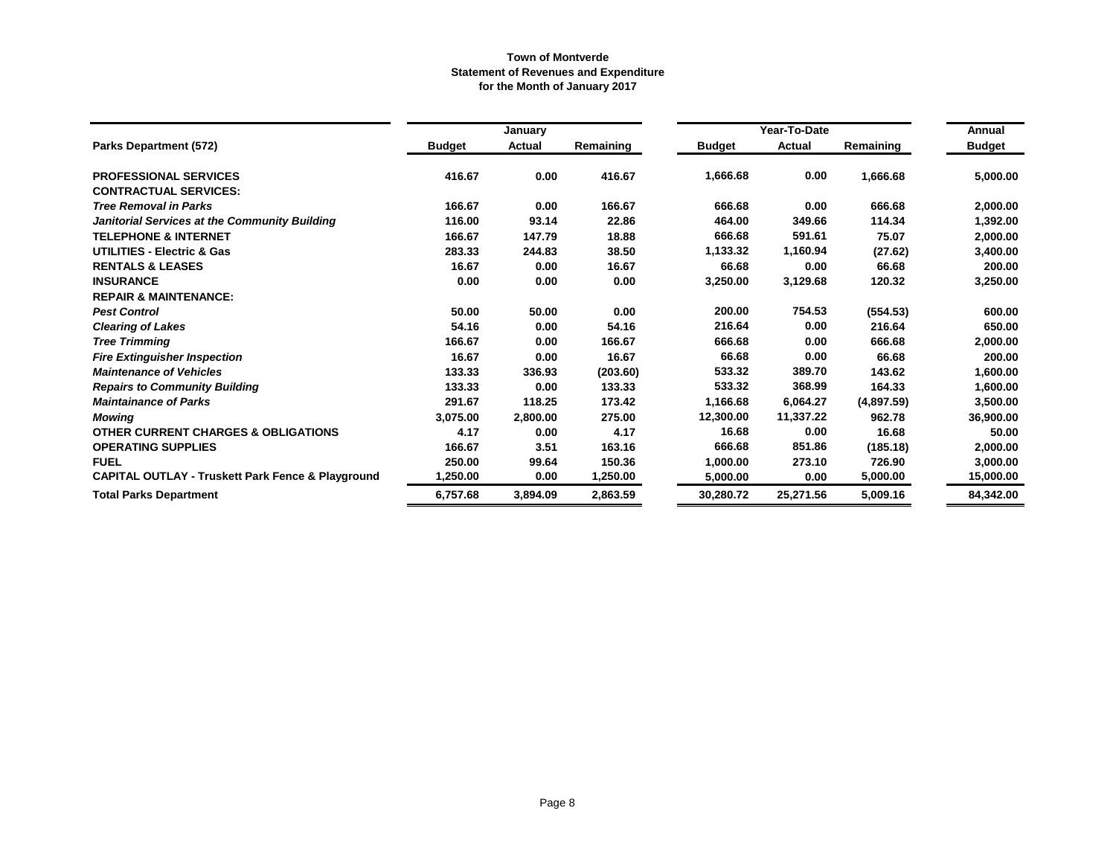|                                                              |               | January       |           |               | Year-To-Date  |            | Annual        |
|--------------------------------------------------------------|---------------|---------------|-----------|---------------|---------------|------------|---------------|
| Parks Department (572)                                       | <b>Budget</b> | <b>Actual</b> | Remaining | <b>Budget</b> | <b>Actual</b> | Remaining  | <b>Budget</b> |
| <b>PROFESSIONAL SERVICES</b>                                 | 416.67        | 0.00          | 416.67    | 1,666.68      | 0.00          | 1,666.68   | 5,000.00      |
| <b>CONTRACTUAL SERVICES:</b>                                 |               |               |           |               |               |            |               |
| <b>Tree Removal in Parks</b>                                 | 166.67        | 0.00          | 166.67    | 666.68        | 0.00          | 666.68     | 2,000.00      |
| Janitorial Services at the Community Building                | 116.00        | 93.14         | 22.86     | 464.00        | 349.66        | 114.34     | 1,392.00      |
| <b>TELEPHONE &amp; INTERNET</b>                              | 166.67        | 147.79        | 18.88     | 666.68        | 591.61        | 75.07      | 2,000.00      |
| <b>UTILITIES - Electric &amp; Gas</b>                        | 283.33        | 244.83        | 38.50     | 1,133.32      | 1,160.94      | (27.62)    | 3,400.00      |
| <b>RENTALS &amp; LEASES</b>                                  | 16.67         | 0.00          | 16.67     | 66.68         | 0.00          | 66.68      | 200.00        |
| <b>INSURANCE</b>                                             | 0.00          | 0.00          | 0.00      | 3,250.00      | 3,129.68      | 120.32     | 3,250.00      |
| <b>REPAIR &amp; MAINTENANCE:</b>                             |               |               |           |               |               |            |               |
| <b>Pest Control</b>                                          | 50.00         | 50.00         | 0.00      | 200.00        | 754.53        | (554.53)   | 600.00        |
| <b>Clearing of Lakes</b>                                     | 54.16         | 0.00          | 54.16     | 216.64        | 0.00          | 216.64     | 650.00        |
| <b>Tree Trimming</b>                                         | 166.67        | 0.00          | 166.67    | 666.68        | 0.00          | 666.68     | 2,000.00      |
| <b>Fire Extinguisher Inspection</b>                          | 16.67         | 0.00          | 16.67     | 66.68         | 0.00          | 66.68      | 200.00        |
| <b>Maintenance of Vehicles</b>                               | 133.33        | 336.93        | (203.60)  | 533.32        | 389.70        | 143.62     | 1,600.00      |
| <b>Repairs to Community Building</b>                         | 133.33        | 0.00          | 133.33    | 533.32        | 368.99        | 164.33     | 1,600.00      |
| <b>Maintainance of Parks</b>                                 | 291.67        | 118.25        | 173.42    | 1,166.68      | 6,064.27      | (4,897.59) | 3,500.00      |
| <b>Mowing</b>                                                | 3,075.00      | 2,800.00      | 275.00    | 12,300.00     | 11,337.22     | 962.78     | 36,900.00     |
| <b>OTHER CURRENT CHARGES &amp; OBLIGATIONS</b>               | 4.17          | 0.00          | 4.17      | 16.68         | 0.00          | 16.68      | 50.00         |
| <b>OPERATING SUPPLIES</b>                                    | 166.67        | 3.51          | 163.16    | 666.68        | 851.86        | (185.18)   | 2,000.00      |
| <b>FUEL</b>                                                  | 250.00        | 99.64         | 150.36    | 1,000.00      | 273.10        | 726.90     | 3,000.00      |
| <b>CAPITAL OUTLAY - Truskett Park Fence &amp; Playground</b> | 1,250.00      | 0.00          | 1,250.00  | 5,000.00      | 0.00          | 5,000.00   | 15,000.00     |
| <b>Total Parks Department</b>                                | 6,757.68      | 3,894.09      | 2.863.59  | 30,280.72     | 25,271.56     | 5,009.16   | 84,342.00     |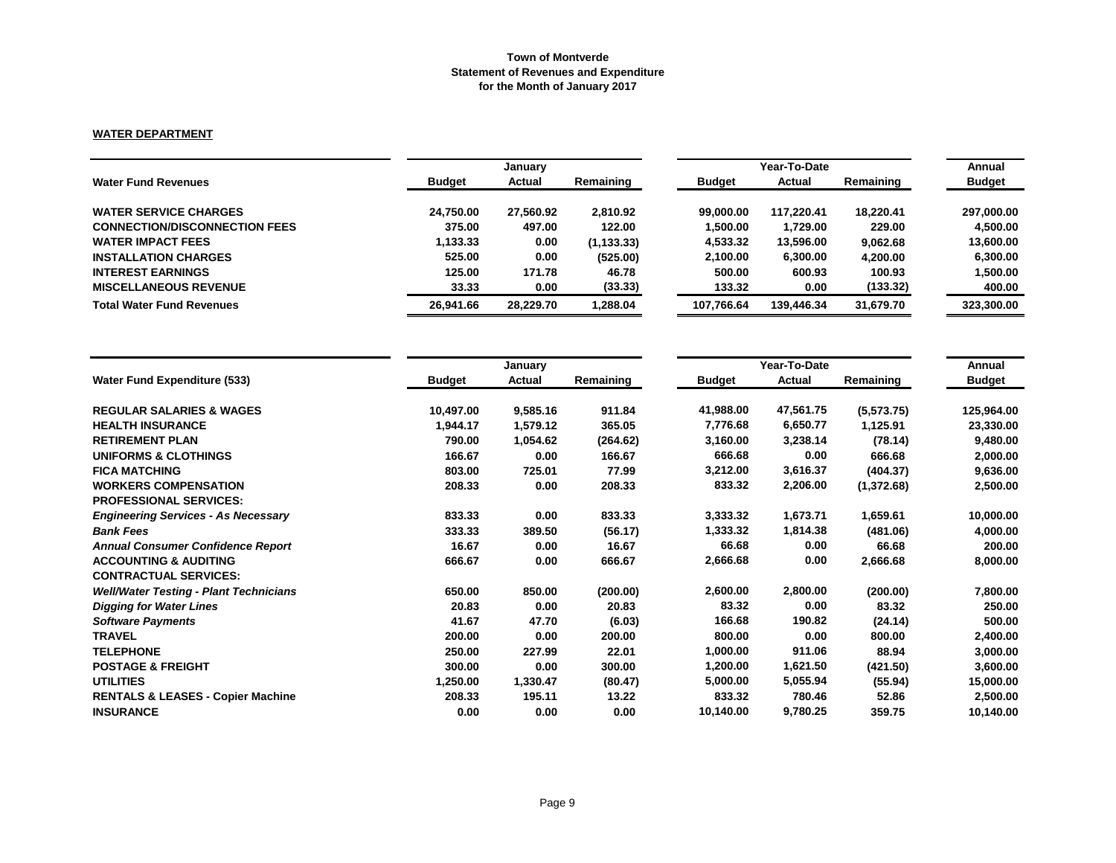### **WATER DEPARTMENT**

|                                      | January       |               |             |               | Annual     |           |               |
|--------------------------------------|---------------|---------------|-------------|---------------|------------|-----------|---------------|
| <b>Water Fund Revenues</b>           | <b>Budget</b> | <b>Actual</b> | Remaining   | <b>Budget</b> | Actual     | Remaining | <b>Budget</b> |
| <b>WATER SERVICE CHARGES</b>         | 24.750.00     | 27,560.92     | 2.810.92    | 99,000,00     | 117.220.41 | 18.220.41 | 297,000.00    |
| <b>CONNECTION/DISCONNECTION FEES</b> | 375.00        | 497.00        | 122.00      | 1.500.00      | 1.729.00   | 229.00    | 4.500.00      |
| <b>WATER IMPACT FEES</b>             | 1,133.33      | 0.00          | (1, 133.33) | 4,533.32      | 13,596.00  | 9,062.68  | 13,600.00     |
| <b>INSTALLATION CHARGES</b>          | 525.00        | 0.00          | (525.00)    | 2,100.00      | 6,300.00   | 4.200.00  | 6.300.00      |
| <b>INTEREST EARNINGS</b>             | 125.00        | 171.78        | 46.78       | 500.00        | 600.93     | 100.93    | 1,500.00      |
| <b>MISCELLANEOUS REVENUE</b>         | 33.33         | 0.00          | (33.33)     | 133.32        | 0.00       | (133.32)  | 400.00        |
| <b>Total Water Fund Revenues</b>     | 26.941.66     | 28.229.70     | 288.04 ا    | 107.766.64    | 139.446.34 | 31,679.70 | 323,300.00    |

|                                               |               | January  |           |               | Year-To-Date |            | Annual        |
|-----------------------------------------------|---------------|----------|-----------|---------------|--------------|------------|---------------|
| <b>Water Fund Expenditure (533)</b>           | <b>Budget</b> | Actual   | Remaining | <b>Budget</b> | Actual       | Remaining  | <b>Budget</b> |
| <b>REGULAR SALARIES &amp; WAGES</b>           | 10,497.00     | 9,585.16 | 911.84    | 41,988.00     | 47,561.75    | (5,573.75) | 125,964.00    |
| <b>HEALTH INSURANCE</b>                       | 1,944.17      | 1,579.12 | 365.05    | 7,776.68      | 6,650.77     | 1,125.91   | 23,330.00     |
| <b>RETIREMENT PLAN</b>                        | 790.00        | 1,054.62 | (264.62)  | 3,160.00      | 3,238.14     | (78.14)    | 9,480.00      |
| <b>UNIFORMS &amp; CLOTHINGS</b>               | 166.67        | 0.00     | 166.67    | 666.68        | 0.00         | 666.68     | 2,000.00      |
| <b>FICA MATCHING</b>                          | 803.00        | 725.01   | 77.99     | 3,212.00      | 3,616.37     | (404.37)   | 9,636.00      |
| <b>WORKERS COMPENSATION</b>                   | 208.33        | 0.00     | 208.33    | 833.32        | 2,206.00     | (1,372.68) | 2,500.00      |
| <b>PROFESSIONAL SERVICES:</b>                 |               |          |           |               |              |            |               |
| <b>Engineering Services - As Necessary</b>    | 833.33        | 0.00     | 833.33    | 3,333.32      | 1,673.71     | 1,659.61   | 10,000.00     |
| <b>Bank Fees</b>                              | 333.33        | 389.50   | (56.17)   | 1,333.32      | 1,814.38     | (481.06)   | 4,000.00      |
| <b>Annual Consumer Confidence Report</b>      | 16.67         | 0.00     | 16.67     | 66.68         | 0.00         | 66.68      | 200.00        |
| <b>ACCOUNTING &amp; AUDITING</b>              | 666.67        | 0.00     | 666.67    | 2,666.68      | 0.00         | 2,666.68   | 8,000.00      |
| <b>CONTRACTUAL SERVICES:</b>                  |               |          |           |               |              |            |               |
| <b>Well/Water Testing - Plant Technicians</b> | 650.00        | 850.00   | (200.00)  | 2,600.00      | 2,800.00     | (200.00)   | 7,800.00      |
| <b>Digging for Water Lines</b>                | 20.83         | 0.00     | 20.83     | 83.32         | 0.00         | 83.32      | 250.00        |
| <b>Software Payments</b>                      | 41.67         | 47.70    | (6.03)    | 166.68        | 190.82       | (24.14)    | 500.00        |
| <b>TRAVEL</b>                                 | 200.00        | 0.00     | 200.00    | 800.00        | 0.00         | 800.00     | 2,400.00      |
| <b>TELEPHONE</b>                              | 250.00        | 227.99   | 22.01     | 1,000.00      | 911.06       | 88.94      | 3,000.00      |
| <b>POSTAGE &amp; FREIGHT</b>                  | 300.00        | 0.00     | 300.00    | 1,200.00      | 1,621.50     | (421.50)   | 3,600.00      |
| <b>UTILITIES</b>                              | 1,250.00      | 1,330.47 | (80.47)   | 5,000.00      | 5,055.94     | (55.94)    | 15,000.00     |
| <b>RENTALS &amp; LEASES - Copier Machine</b>  | 208.33        | 195.11   | 13.22     | 833.32        | 780.46       | 52.86      | 2,500.00      |
| <b>INSURANCE</b>                              | 0.00          | 0.00     | 0.00      | 10,140.00     | 9,780.25     | 359.75     | 10,140.00     |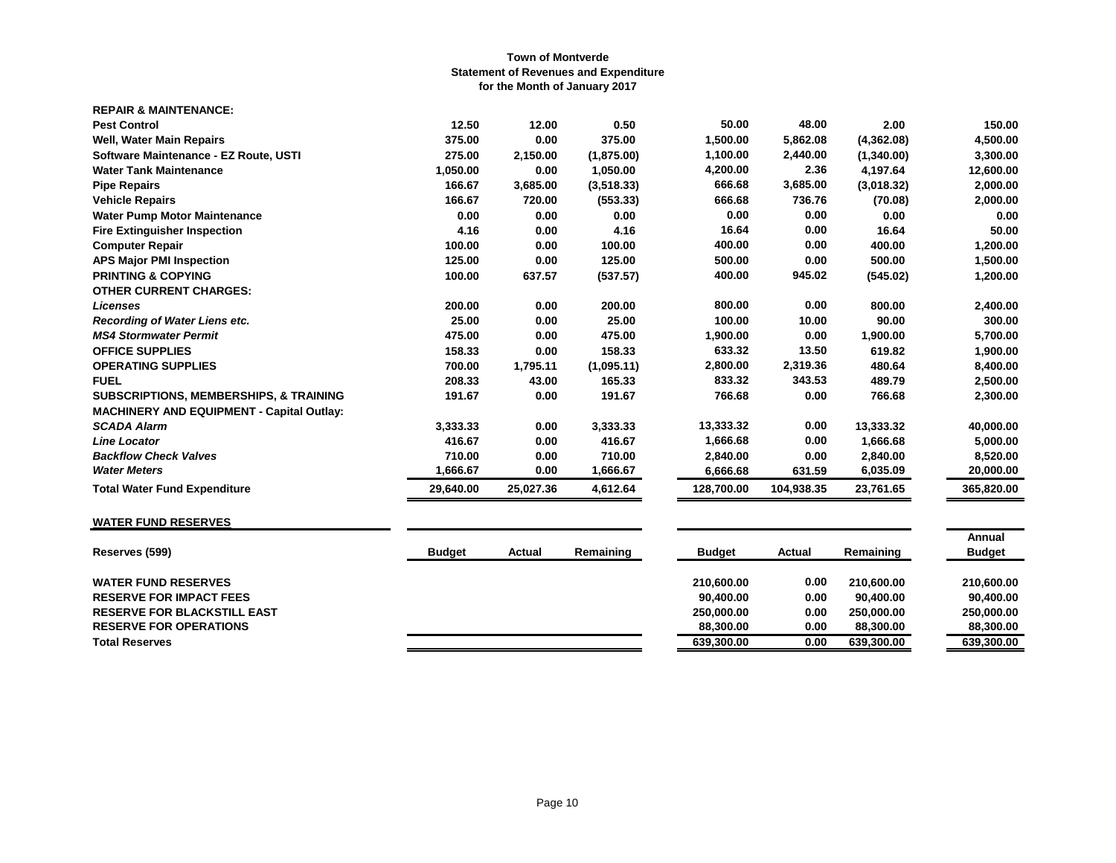| <b>REPAIR &amp; MAINTENANCE:</b>                  |           |           |            |            |            |            |            |
|---------------------------------------------------|-----------|-----------|------------|------------|------------|------------|------------|
| <b>Pest Control</b>                               | 12.50     | 12.00     | 0.50       | 50.00      | 48.00      | 2.00       | 150.00     |
| <b>Well, Water Main Repairs</b>                   | 375.00    | 0.00      | 375.00     | 1,500.00   | 5,862.08   | (4,362.08) | 4,500.00   |
| Software Maintenance - EZ Route, USTI             | 275.00    | 2,150.00  | (1,875.00) | 1,100.00   | 2,440.00   | (1,340.00) | 3,300.00   |
| <b>Water Tank Maintenance</b>                     | 1,050.00  | 0.00      | 1,050.00   | 4,200.00   | 2.36       | 4,197.64   | 12,600.00  |
| <b>Pipe Repairs</b>                               | 166.67    | 3,685.00  | (3,518.33) | 666.68     | 3,685.00   | (3,018.32) | 2,000.00   |
| <b>Vehicle Repairs</b>                            | 166.67    | 720.00    | (553.33)   | 666.68     | 736.76     | (70.08)    | 2,000.00   |
| <b>Water Pump Motor Maintenance</b>               | 0.00      | 0.00      | 0.00       | 0.00       | 0.00       | 0.00       | 0.00       |
| <b>Fire Extinguisher Inspection</b>               | 4.16      | 0.00      | 4.16       | 16.64      | 0.00       | 16.64      | 50.00      |
| <b>Computer Repair</b>                            | 100.00    | 0.00      | 100.00     | 400.00     | 0.00       | 400.00     | 1,200.00   |
| <b>APS Major PMI Inspection</b>                   | 125.00    | 0.00      | 125.00     | 500.00     | 0.00       | 500.00     | 1,500.00   |
| <b>PRINTING &amp; COPYING</b>                     | 100.00    | 637.57    | (537.57)   | 400.00     | 945.02     | (545.02)   | 1,200.00   |
| <b>OTHER CURRENT CHARGES:</b>                     |           |           |            |            |            |            |            |
| <b>Licenses</b>                                   | 200.00    | 0.00      | 200.00     | 800.00     | 0.00       | 800.00     | 2,400.00   |
| <b>Recording of Water Liens etc.</b>              | 25.00     | 0.00      | 25.00      | 100.00     | 10.00      | 90.00      | 300.00     |
| <b>MS4 Stormwater Permit</b>                      | 475.00    | 0.00      | 475.00     | 1,900.00   | 0.00       | 1,900.00   | 5,700.00   |
| <b>OFFICE SUPPLIES</b>                            | 158.33    | 0.00      | 158.33     | 633.32     | 13.50      | 619.82     | 1,900.00   |
| <b>OPERATING SUPPLIES</b>                         | 700.00    | 1,795.11  | (1,095.11) | 2,800.00   | 2,319.36   | 480.64     | 8,400.00   |
| <b>FUEL</b>                                       | 208.33    | 43.00     | 165.33     | 833.32     | 343.53     | 489.79     | 2,500.00   |
| <b>SUBSCRIPTIONS, MEMBERSHIPS, &amp; TRAINING</b> | 191.67    | 0.00      | 191.67     | 766.68     | 0.00       | 766.68     | 2,300.00   |
| <b>MACHINERY AND EQUIPMENT - Capital Outlay:</b>  |           |           |            |            |            |            |            |
| <b>SCADA Alarm</b>                                | 3,333.33  | 0.00      | 3,333.33   | 13,333.32  | 0.00       | 13,333.32  | 40,000.00  |
| <b>Line Locator</b>                               | 416.67    | 0.00      | 416.67     | 1,666.68   | 0.00       | 1,666.68   | 5,000.00   |
| <b>Backflow Check Valves</b>                      | 710.00    | 0.00      | 710.00     | 2,840.00   | 0.00       | 2,840.00   | 8,520.00   |
| <b>Water Meters</b>                               | 1.666.67  | 0.00      | 1,666.67   | 6,666.68   | 631.59     | 6,035.09   | 20,000.00  |
| <b>Total Water Fund Expenditure</b>               | 29,640.00 | 25,027.36 | 4,612.64   | 128,700.00 | 104,938.35 | 23,761.65  | 365,820.00 |
|                                                   |           |           |            |            |            |            |            |

# **WATER FUND RESERVES**

| Reserves (599)                     | <b>Budget</b> | Actual | Remaining | <b>Budget</b> | Actual | Remaining  | Annual<br><b>Budget</b> |
|------------------------------------|---------------|--------|-----------|---------------|--------|------------|-------------------------|
| <b>WATER FUND RESERVES</b>         |               |        |           | 210.600.00    | 0.00   | 210.600.00 | 210.600.00              |
| <b>RESERVE FOR IMPACT FEES</b>     |               |        |           | 90.400.00     | 0.00   | 90.400.00  | 90.400.00               |
| <b>RESERVE FOR BLACKSTILL EAST</b> |               |        |           | 250.000.00    | 0.00   | 250.000.00 | 250.000.00              |
| <b>RESERVE FOR OPERATIONS</b>      |               |        |           | 88.300.00     | 0.00   | 88,300,00  | 88,300,00               |
| <b>Total Reserves</b>              |               |        |           | 639,300.00    | 0.00   | 639,300.00 | 639,300.00              |